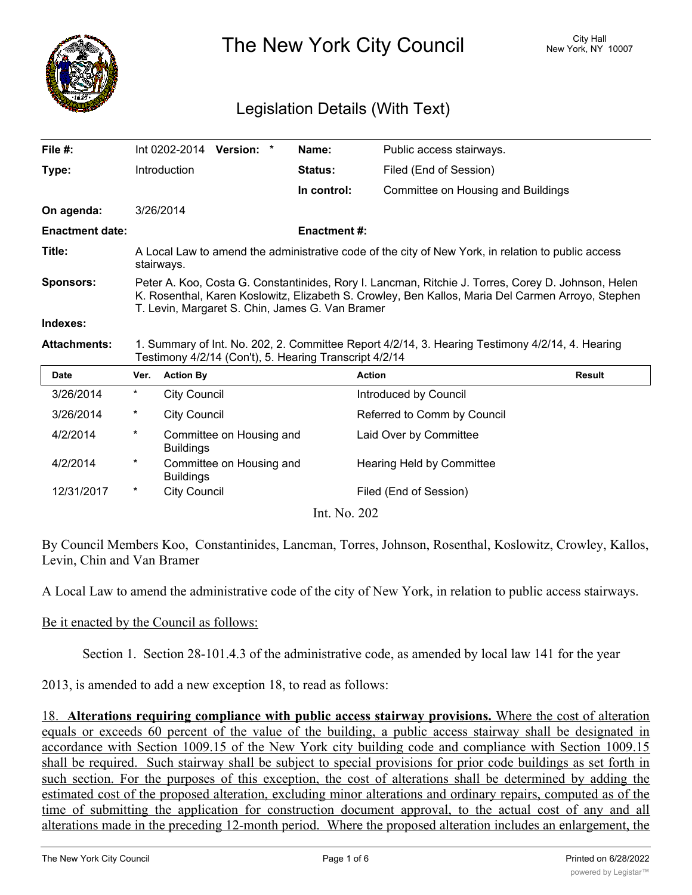

The New York City Council New York, NY 10007

## Legislation Details (With Text)

| File $#$ :             |                                                                                                                                                                                                                                                            |                     | Int 0202-2014 Version: * |  | Name:              | Public access stairways.           |               |  |
|------------------------|------------------------------------------------------------------------------------------------------------------------------------------------------------------------------------------------------------------------------------------------------------|---------------------|--------------------------|--|--------------------|------------------------------------|---------------|--|
| Type:                  |                                                                                                                                                                                                                                                            | Introduction        |                          |  | Status:            | Filed (End of Session)             |               |  |
|                        |                                                                                                                                                                                                                                                            |                     |                          |  | In control:        | Committee on Housing and Buildings |               |  |
| On agenda:             |                                                                                                                                                                                                                                                            | 3/26/2014           |                          |  |                    |                                    |               |  |
| <b>Enactment date:</b> |                                                                                                                                                                                                                                                            |                     |                          |  | <b>Enactment#:</b> |                                    |               |  |
| Title:                 | A Local Law to amend the administrative code of the city of New York, in relation to public access<br>stairways.                                                                                                                                           |                     |                          |  |                    |                                    |               |  |
| <b>Sponsors:</b>       | Peter A. Koo, Costa G. Constantinides, Rory I. Lancman, Ritchie J. Torres, Corey D. Johnson, Helen<br>K. Rosenthal, Karen Koslowitz, Elizabeth S. Crowley, Ben Kallos, Maria Del Carmen Arroyo, Stephen<br>T. Levin, Margaret S. Chin, James G. Van Bramer |                     |                          |  |                    |                                    |               |  |
| Indexes:               |                                                                                                                                                                                                                                                            |                     |                          |  |                    |                                    |               |  |
| <b>Attachments:</b>    | 1. Summary of Int. No. 202, 2. Committee Report 4/2/14, 3. Hearing Testimony 4/2/14, 4. Hearing<br>Testimony 4/2/14 (Con't), 5. Hearing Transcript 4/2/14                                                                                                  |                     |                          |  |                    |                                    |               |  |
| <b>Date</b>            | Ver.                                                                                                                                                                                                                                                       | <b>Action By</b>    |                          |  |                    | <b>Action</b>                      | <b>Result</b> |  |
| 3/26/2014              | $^\star$                                                                                                                                                                                                                                                   | <b>City Council</b> |                          |  |                    | Introduced by Council              |               |  |
| 3/26/2014              | $^\star$                                                                                                                                                                                                                                                   | <b>City Council</b> |                          |  |                    | Referred to Comm by Council        |               |  |
| 4/2/2014               | $^\star$                                                                                                                                                                                                                                                   | <b>Buildings</b>    | Committee on Housing and |  |                    | Laid Over by Committee             |               |  |
| 4/2/2014               | $^\star$                                                                                                                                                                                                                                                   | <b>Buildings</b>    | Committee on Housing and |  |                    | Hearing Held by Committee          |               |  |
| 12/31/2017             | $^\star$                                                                                                                                                                                                                                                   | <b>City Council</b> |                          |  |                    | Filed (End of Session)             |               |  |
|                        | Int. No. 202                                                                                                                                                                                                                                               |                     |                          |  |                    |                                    |               |  |

By Council Members Koo, Constantinides, Lancman, Torres, Johnson, Rosenthal, Koslowitz, Crowley, Kallos, Levin, Chin and Van Bramer

A Local Law to amend the administrative code of the city of New York, in relation to public access stairways.

## Be it enacted by the Council as follows:

Section 1. Section 28-101.4.3 of the administrative code, as amended by local law 141 for the year

2013, is amended to add a new exception 18, to read as follows:

18. **Alterations requiring compliance with public access stairway provisions.** Where the cost of alteration equals or exceeds 60 percent of the value of the building, a public access stairway shall be designated in accordance with Section 1009.15 of the New York city building code and compliance with Section 1009.15 shall be required. Such stairway shall be subject to special provisions for prior code buildings as set forth in such section. For the purposes of this exception, the cost of alterations shall be determined by adding the estimated cost of the proposed alteration, excluding minor alterations and ordinary repairs, computed as of the time of submitting the application for construction document approval, to the actual cost of any and all alterations made in the preceding 12-month period. Where the proposed alteration includes an enlargement, the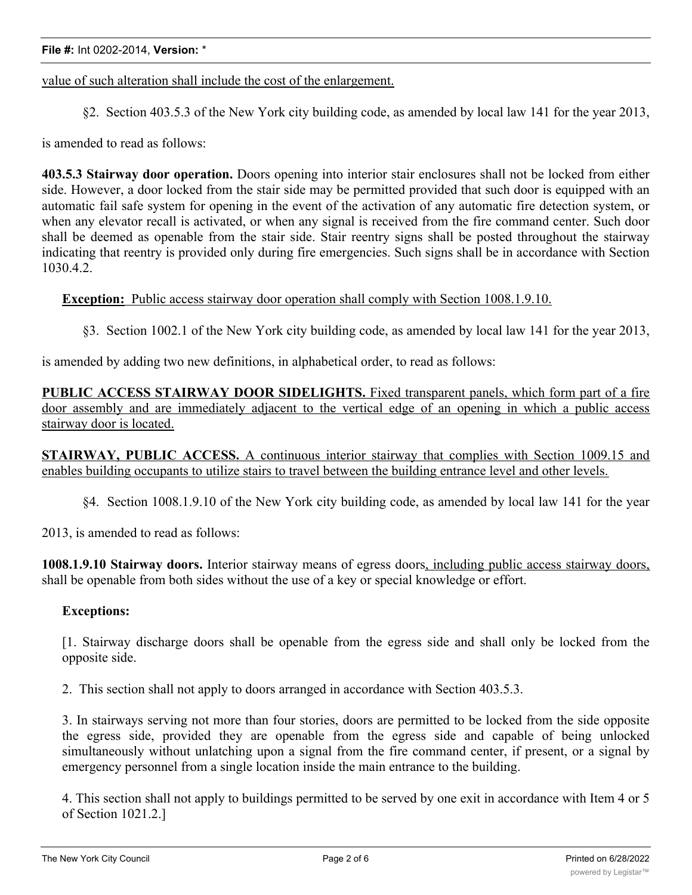value of such alteration shall include the cost of the enlargement.

§2. Section 403.5.3 of the New York city building code, as amended by local law 141 for the year 2013,

is amended to read as follows:

**403.5.3 Stairway door operation.** Doors opening into interior stair enclosures shall not be locked from either side. However, a door locked from the stair side may be permitted provided that such door is equipped with an automatic fail safe system for opening in the event of the activation of any automatic fire detection system, or when any elevator recall is activated, or when any signal is received from the fire command center. Such door shall be deemed as openable from the stair side. Stair reentry signs shall be posted throughout the stairway indicating that reentry is provided only during fire emergencies. Such signs shall be in accordance with Section 1030.4.2.

**Exception:** Public access stairway door operation shall comply with Section 1008.1.9.10.

§3. Section 1002.1 of the New York city building code, as amended by local law 141 for the year 2013,

is amended by adding two new definitions, in alphabetical order, to read as follows:

**PUBLIC ACCESS STAIRWAY DOOR SIDELIGHTS.** Fixed transparent panels, which form part of a fire door assembly and are immediately adjacent to the vertical edge of an opening in which a public access stairway door is located.

**STAIRWAY, PUBLIC ACCESS.** A continuous interior stairway that complies with Section 1009.15 and enables building occupants to utilize stairs to travel between the building entrance level and other levels.

§4. Section 1008.1.9.10 of the New York city building code, as amended by local law 141 for the year

2013, is amended to read as follows:

**1008.1.9.10 Stairway doors.** Interior stairway means of egress doors, including public access stairway doors, shall be openable from both sides without the use of a key or special knowledge or effort.

## **Exceptions:**

[1. Stairway discharge doors shall be openable from the egress side and shall only be locked from the opposite side.

2. This section shall not apply to doors arranged in accordance with Section 403.5.3.

3. In stairways serving not more than four stories, doors are permitted to be locked from the side opposite the egress side, provided they are openable from the egress side and capable of being unlocked simultaneously without unlatching upon a signal from the fire command center, if present, or a signal by emergency personnel from a single location inside the main entrance to the building.

4. This section shall not apply to buildings permitted to be served by one exit in accordance with Item 4 or 5 of Section 1021.2.]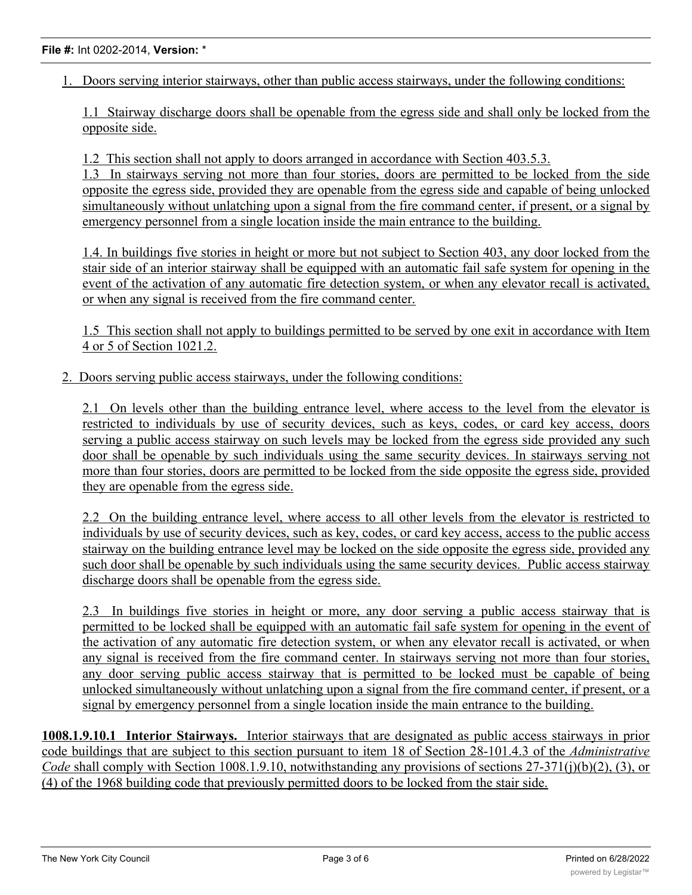1. Doors serving interior stairways, other than public access stairways, under the following conditions:

1.1 Stairway discharge doors shall be openable from the egress side and shall only be locked from the opposite side.

1.2 This section shall not apply to doors arranged in accordance with Section 403.5.3.

1.3 In stairways serving not more than four stories, doors are permitted to be locked from the side opposite the egress side, provided they are openable from the egress side and capable of being unlocked simultaneously without unlatching upon a signal from the fire command center, if present, or a signal by emergency personnel from a single location inside the main entrance to the building.

1.4. In buildings five stories in height or more but not subject to Section 403, any door locked from the stair side of an interior stairway shall be equipped with an automatic fail safe system for opening in the event of the activation of any automatic fire detection system, or when any elevator recall is activated, or when any signal is received from the fire command center.

1.5 This section shall not apply to buildings permitted to be served by one exit in accordance with Item 4 or 5 of Section 1021.2.

2. Doors serving public access stairways, under the following conditions:

2.1 On levels other than the building entrance level, where access to the level from the elevator is restricted to individuals by use of security devices, such as keys, codes, or card key access, doors serving a public access stairway on such levels may be locked from the egress side provided any such door shall be openable by such individuals using the same security devices. In stairways serving not more than four stories, doors are permitted to be locked from the side opposite the egress side, provided they are openable from the egress side.

2.2 On the building entrance level, where access to all other levels from the elevator is restricted to individuals by use of security devices, such as key, codes, or card key access, access to the public access stairway on the building entrance level may be locked on the side opposite the egress side, provided any such door shall be openable by such individuals using the same security devices. Public access stairway discharge doors shall be openable from the egress side.

2.3 In buildings five stories in height or more, any door serving a public access stairway that is permitted to be locked shall be equipped with an automatic fail safe system for opening in the event of the activation of any automatic fire detection system, or when any elevator recall is activated, or when any signal is received from the fire command center. In stairways serving not more than four stories, any door serving public access stairway that is permitted to be locked must be capable of being unlocked simultaneously without unlatching upon a signal from the fire command center, if present, or a signal by emergency personnel from a single location inside the main entrance to the building.

**1008.1.9.10.1 Interior Stairways.** Interior stairways that are designated as public access stairways in prior code buildings that are subject to this section pursuant to item 18 of Section 28-101.4.3 of the *Administrative Code* shall comply with Section 1008.1.9.10, notwithstanding any provisions of sections 27-371(j)(b)(2), (3), or (4) of the 1968 building code that previously permitted doors to be locked from the stair side.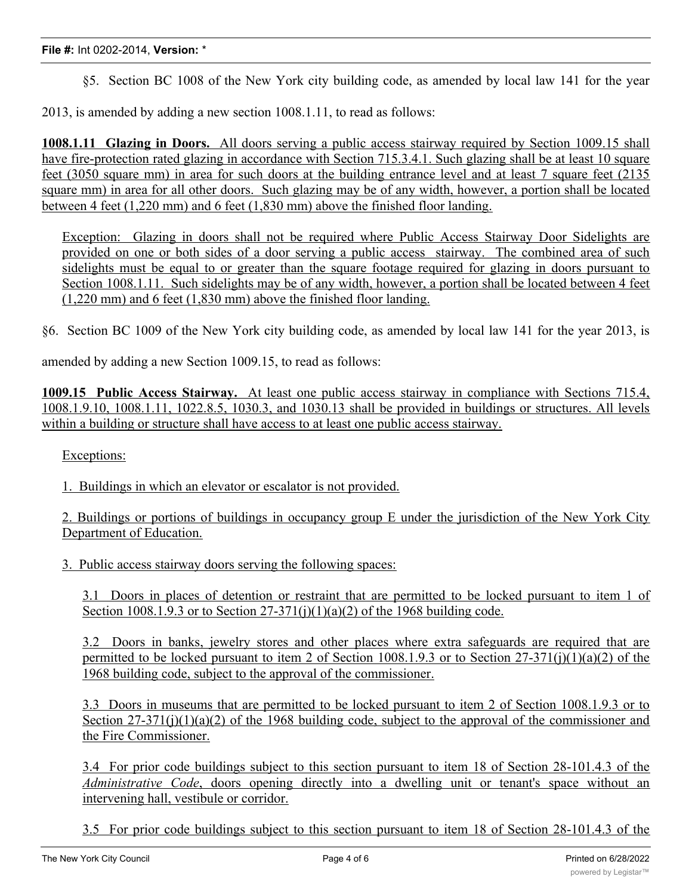§5. Section BC 1008 of the New York city building code, as amended by local law 141 for the year

2013, is amended by adding a new section 1008.1.11, to read as follows:

**1008.1.11 Glazing in Doors.** All doors serving a public access stairway required by Section 1009.15 shall have fire-protection rated glazing in accordance with Section 715.3.4.1. Such glazing shall be at least 10 square feet (3050 square mm) in area for such doors at the building entrance level and at least 7 square feet (2135 square mm) in area for all other doors. Such glazing may be of any width, however, a portion shall be located between 4 feet (1,220 mm) and 6 feet (1,830 mm) above the finished floor landing.

Exception: Glazing in doors shall not be required where Public Access Stairway Door Sidelights are provided on one or both sides of a door serving a public access stairway. The combined area of such sidelights must be equal to or greater than the square footage required for glazing in doors pursuant to Section 1008.1.11. Such sidelights may be of any width, however, a portion shall be located between 4 feet (1,220 mm) and 6 feet (1,830 mm) above the finished floor landing.

§6. Section BC 1009 of the New York city building code, as amended by local law 141 for the year 2013, is

amended by adding a new Section 1009.15, to read as follows:

**1009.15 Public Access Stairway.** At least one public access stairway in compliance with Sections 715.4, 1008.1.9.10, 1008.1.11, 1022.8.5, 1030.3, and 1030.13 shall be provided in buildings or structures. All levels within a building or structure shall have access to at least one public access stairway.

Exceptions:

1. Buildings in which an elevator or escalator is not provided.

2. Buildings or portions of buildings in occupancy group E under the jurisdiction of the New York City Department of Education.

3. Public access stairway doors serving the following spaces:

3.1 Doors in places of detention or restraint that are permitted to be locked pursuant to item 1 of Section 1008.1.9.3 or to Section  $27-371(i)(1)(a)(2)$  of the 1968 building code.

3.2 Doors in banks, jewelry stores and other places where extra safeguards are required that are permitted to be locked pursuant to item 2 of Section 1008.1.9.3 or to Section  $27-371(i)(1)(a)(2)$  of the 1968 building code, subject to the approval of the commissioner.

3.3 Doors in museums that are permitted to be locked pursuant to item 2 of Section 1008.1.9.3 or to Section  $27-371(j)(1)(a)(2)$  of the 1968 building code, subject to the approval of the commissioner and the Fire Commissioner.

3.4 For prior code buildings subject to this section pursuant to item 18 of Section 28-101.4.3 of the *Administrative Code*, doors opening directly into a dwelling unit or tenant's space without an intervening hall, vestibule or corridor.

3.5 For prior code buildings subject to this section pursuant to item 18 of Section 28-101.4.3 of the *Administrative Code*, doors that are permitted to be locked to prevent access to the stair at the street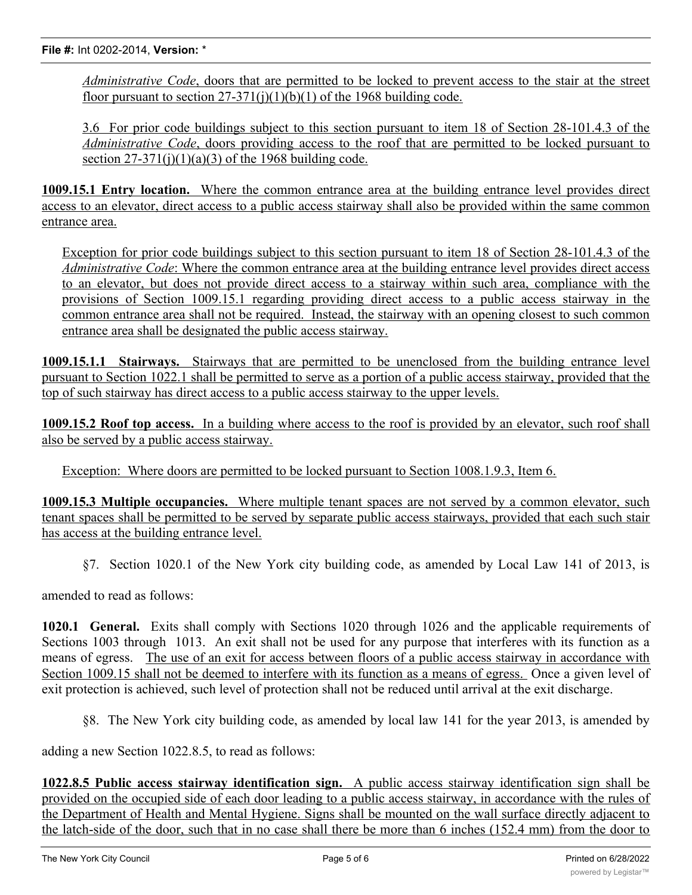*Administrative Code*, doors that are permitted to be locked to prevent access to the stair at the street floor pursuant to section  $27-371(i)(1)(b)(1)$  of the 1968 building code.

3.6 For prior code buildings subject to this section pursuant to item 18 of Section 28-101.4.3 of the *Administrative Code*, doors providing access to the roof that are permitted to be locked pursuant to section  $27-371(i)(1)(a)(3)$  of the 1968 building code.

**1009.15.1 Entry location.** Where the common entrance area at the building entrance level provides direct access to an elevator, direct access to a public access stairway shall also be provided within the same common entrance area.

Exception for prior code buildings subject to this section pursuant to item 18 of Section 28-101.4.3 of the *Administrative Code*: Where the common entrance area at the building entrance level provides direct access to an elevator, but does not provide direct access to a stairway within such area, compliance with the provisions of Section 1009.15.1 regarding providing direct access to a public access stairway in the common entrance area shall not be required. Instead, the stairway with an opening closest to such common entrance area shall be designated the public access stairway.

**1009.15.1.1 Stairways.** Stairways that are permitted to be unenclosed from the building entrance level pursuant to Section 1022.1 shall be permitted to serve as a portion of a public access stairway, provided that the top of such stairway has direct access to a public access stairway to the upper levels.

**1009.15.2 Roof top access.** In a building where access to the roof is provided by an elevator, such roof shall also be served by a public access stairway.

Exception: Where doors are permitted to be locked pursuant to Section 1008.1.9.3, Item 6.

**1009.15.3 Multiple occupancies.** Where multiple tenant spaces are not served by a common elevator, such tenant spaces shall be permitted to be served by separate public access stairways, provided that each such stair has access at the building entrance level.

§7. Section 1020.1 of the New York city building code, as amended by Local Law 141 of 2013, is

amended to read as follows:

**1020.1 General.** Exits shall comply with Sections 1020 through 1026 and the applicable requirements of Sections 1003 through 1013. An exit shall not be used for any purpose that interferes with its function as a means of egress. The use of an exit for access between floors of a public access stairway in accordance with Section 1009.15 shall not be deemed to interfere with its function as a means of egress. Once a given level of exit protection is achieved, such level of protection shall not be reduced until arrival at the exit discharge.

§8. The New York city building code, as amended by local law 141 for the year 2013, is amended by

adding a new Section 1022.8.5, to read as follows:

**1022.8.5 Public access stairway identification sign.** A public access stairway identification sign shall be provided on the occupied side of each door leading to a public access stairway, in accordance with the rules of the Department of Health and Mental Hygiene. Signs shall be mounted on the wall surface directly adjacent to the latch-side of the door, such that in no case shall there be more than 6 inches (152.4 mm) from the door to